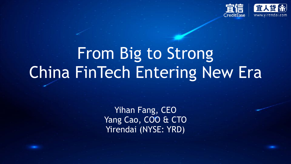

# From Big to Strong China FinTech Entering New Era

Yihan Fang, CEO Yang Cao, COO & CTO Yirendai (NYSE: YRD)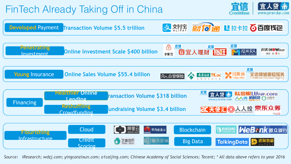## FinTech Already Taking Off in China





*Source: iResearch; wdzj.com; yingcanzixun.com; o1caijing.com; Chinese Academy of Social Sciences; Tecent; \* All data above refers to year 2016*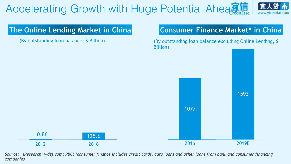# Accelerating Growth with Huge Potential Aheadia

## www.virendai.com

### **The Online Lending Market in China**

(By outstanding loan balance, \$ Billion)

### **Consumer Finance Market\* in China**

(By outstanding loan balance excluding Online Lending, \$ Billion)



*Source: iResearch; wdzj.com; PBC; \*consumer finance includes credit cards, auto loans and other loans from bank and consumer financing companies*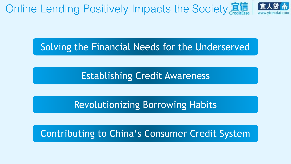Online Lending Positively Impacts the Society

## Solving the Financial Needs for the Underserved

Establishing Credit Awareness

Revolutionizing Borrowing Habits

## Contributing to China's Consumer Credit System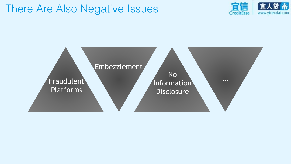## There Are Also Negative Issues



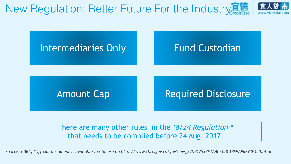New Regulation: Better Future For the Industry



There are many other rules in the *'8/24 Regulation'*\* that needs to be complied before 24 Aug. 2017.

*Source: CBRC; \*Official document is available in Chinese on http://www.cbrc.gov.cn/govView\_37D312933F1A4CECBC18F9A96293F450.html*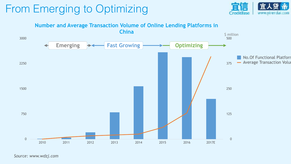## From Emerging to Optimizing





*Source: www.wdzj.com*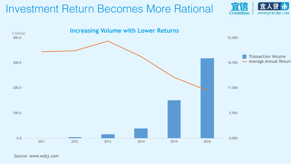## Investment Return Becomes More Rational





*Source: www.wdzj.com*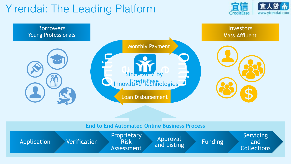## Yirendai: The Leading Platform





#### **End to End Automated Online Business Process**

| Verification<br>Application | <b>Proprietary</b><br><b>Risk</b><br>Assessment | <b>Approval</b><br>and Listing | <b>Funding</b> | <b>Servicing</b><br>and<br><b>Collections</b> |
|-----------------------------|-------------------------------------------------|--------------------------------|----------------|-----------------------------------------------|
|-----------------------------|-------------------------------------------------|--------------------------------|----------------|-----------------------------------------------|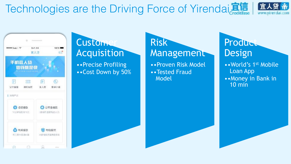# Technologies are the Driving Force of Yirendai





## Customer Acquisition

••Precise Profiling ••Cost Down by 50%

### Risk **Management**

••Proven Risk Model ••Tested Fraud Model

### Product Design

••World's 1st Mobile Loan App ••Money in Bank in 10 min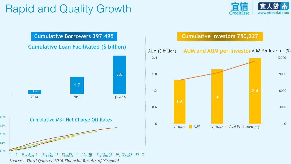## Rapid and Quality Growth





#### **Cumulative Loan Facilitated (\$ billion)**



 $\frac{6}{201501}$  8  $\frac{9}{201502}$  11  $\frac{12}{201503}$  14  $\frac{15}{201509}$  17  $\frac{10}{201501}$  20  $\frac{21}{211602}$  23 24

*Source*:*Third Quarter 2016 Financial Results of Yirendai*

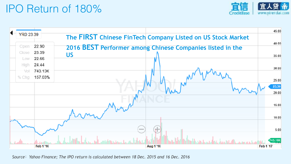## IPO Return of 180%





*Source*:*Yahoo Finance; The IPO return is calculated between 18 Dec. 2015 and 16 Dec. 2016*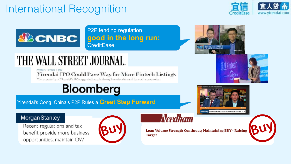## International Recognition





#### P2P lending regulation **good in the long run: CreditEase**



# THE WALL STREET JOURNAL.

MARKETS - STOCKS | POS

**Yirendai IPO Could Pave Way for More Fintech Listings** 

The popularity of Yirondai's IPO suggests there is strong investor demand for such companies



Yirendai's Cong: China's P2P Rules a **Great Step Forward**





#### Morgan Stanley

Recent regulations and tax benefit provide more business opportunities; maintain OW



## **Needham**

Loan Volume Strength Continues; Maintaining BUY - Raising Target

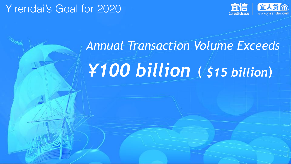## Yirendai's Goal for 2020



# *Annual Transaction Volume Exceeds ¥100 billion***(** *\$15 billion***)**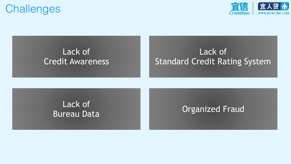## **Challenges**



### Lack of Credit Awareness

## Lack of Standard Credit Rating System

# Lack of

## Bureau Data **California** Creanized Fraud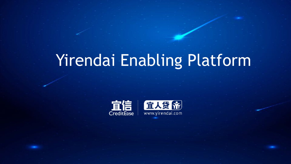# Yirendai Enabling Platform



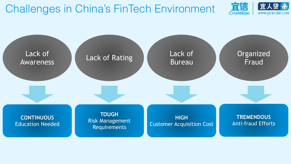Challenges in China's FinTech Environment



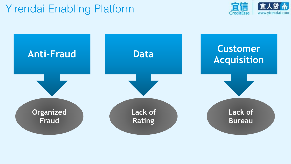## Yirendai Enabling Platform



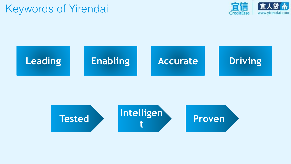## Keywords of Yirendai





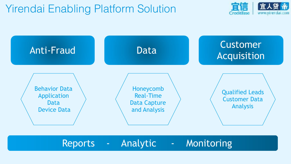## Yirendai Enabling Platform Solution





Reports - Analytic - Monitoring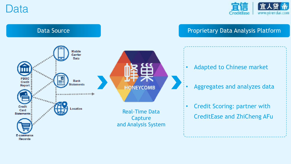Data



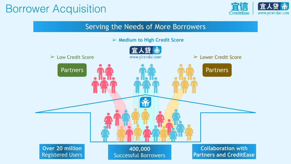## Borrower Acquisition



#### Serving the Needs of More Borrowers

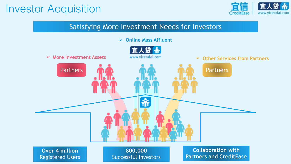## Investor Acquisition



#### Satisfying More Investment Needs for Investors



**Over 4 million** Registered Users

**800,000** Successful Investors

**Collaboration with Partners and CreditEase**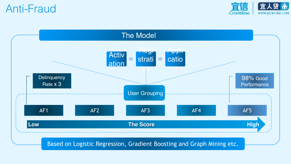Anti-Fraud



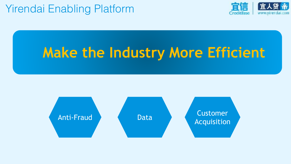## Yirendai Enabling Platform



# **Make the Industry More Efficient**